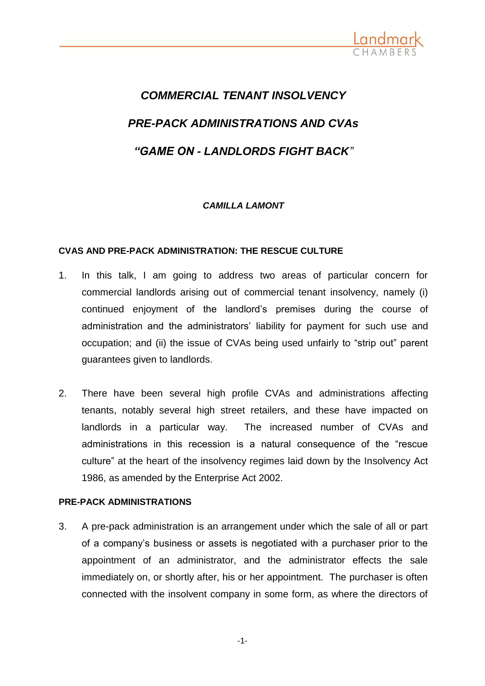

# *COMMERCIAL TENANT INSOLVENCY PRE-PACK ADMINISTRATIONS AND CVAs "GAME ON - LANDLORDS FIGHT BACK"*

## *CAMILLA LAMONT*

## **CVAS AND PRE-PACK ADMINISTRATION: THE RESCUE CULTURE**

- 1. In this talk, I am going to address two areas of particular concern for commercial landlords arising out of commercial tenant insolvency, namely (i) continued enjoyment of the landlord's premises during the course of administration and the administrators' liability for payment for such use and occupation; and (ii) the issue of CVAs being used unfairly to "strip out" parent guarantees given to landlords.
- 2. There have been several high profile CVAs and administrations affecting tenants, notably several high street retailers, and these have impacted on landlords in a particular way. The increased number of CVAs and administrations in this recession is a natural consequence of the "rescue culture" at the heart of the insolvency regimes laid down by the Insolvency Act 1986, as amended by the Enterprise Act 2002.

## **PRE-PACK ADMINISTRATIONS**

3. A pre-pack administration is an arrangement under which the sale of all or part of a company's business or assets is negotiated with a purchaser prior to the appointment of an administrator, and the administrator effects the sale immediately on, or shortly after, his or her appointment. The purchaser is often connected with the insolvent company in some form, as where the directors of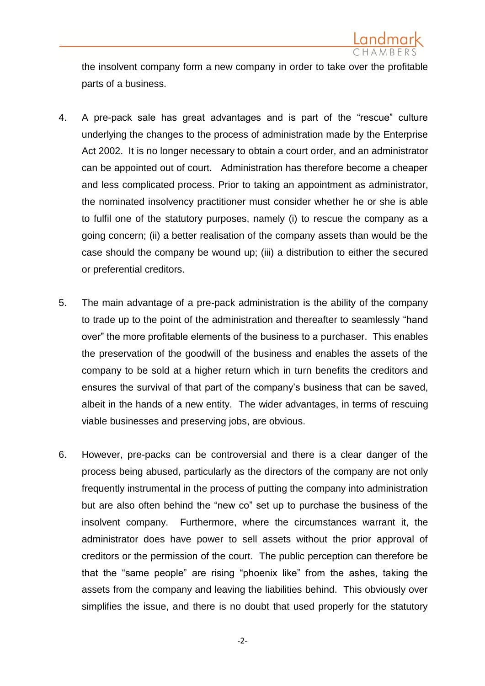

the insolvent company form a new company in order to take over the profitable parts of a business.

- 4. A pre-pack sale has great advantages and is part of the "rescue" culture underlying the changes to the process of administration made by the Enterprise Act 2002. It is no longer necessary to obtain a court order, and an administrator can be appointed out of court. Administration has therefore become a cheaper and less complicated process. Prior to taking an appointment as administrator, the nominated insolvency practitioner must consider whether he or she is able to fulfil one of the statutory purposes, namely (i) to rescue the company as a going concern; (ii) a better realisation of the company assets than would be the case should the company be wound up; (iii) a distribution to either the secured or preferential creditors.
- 5. The main advantage of a pre-pack administration is the ability of the company to trade up to the point of the administration and thereafter to seamlessly "hand over" the more profitable elements of the business to a purchaser. This enables the preservation of the goodwill of the business and enables the assets of the company to be sold at a higher return which in turn benefits the creditors and ensures the survival of that part of the company's business that can be saved, albeit in the hands of a new entity. The wider advantages, in terms of rescuing viable businesses and preserving jobs, are obvious.
- 6. However, pre-packs can be controversial and there is a clear danger of the process being abused, particularly as the directors of the company are not only frequently instrumental in the process of putting the company into administration but are also often behind the "new co" set up to purchase the business of the insolvent company. Furthermore, where the circumstances warrant it, the administrator does have power to sell assets without the prior approval of creditors or the permission of the court. The public perception can therefore be that the "same people" are rising "phoenix like" from the ashes, taking the assets from the company and leaving the liabilities behind. This obviously over simplifies the issue, and there is no doubt that used properly for the statutory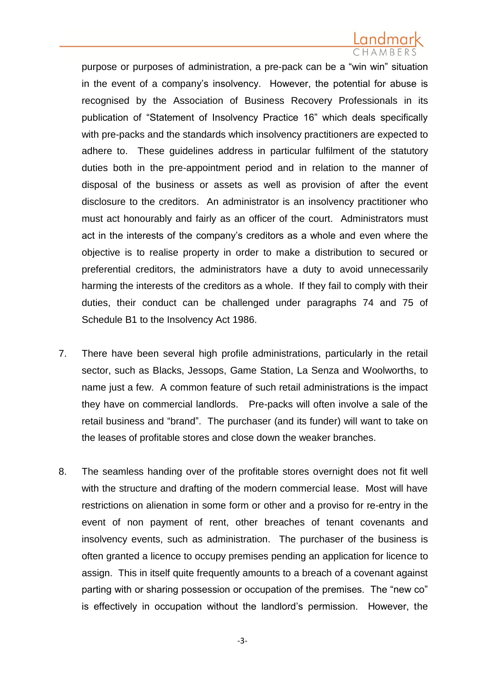purpose or purposes of administration, a pre-pack can be a "win win" situation in the event of a company's insolvency. However, the potential for abuse is recognised by the Association of Business Recovery Professionals in its publication of "Statement of Insolvency Practice 16" which deals specifically with pre-packs and the standards which insolvency practitioners are expected to adhere to. These guidelines address in particular fulfilment of the statutory duties both in the pre-appointment period and in relation to the manner of disposal of the business or assets as well as provision of after the event disclosure to the creditors. An administrator is an insolvency practitioner who must act honourably and fairly as an officer of the court. Administrators must act in the interests of the company's creditors as a whole and even where the objective is to realise property in order to make a distribution to secured or preferential creditors, the administrators have a duty to avoid unnecessarily harming the interests of the creditors as a whole. If they fail to comply with their duties, their conduct can be challenged under paragraphs 74 and 75 of Schedule B1 to the Insolvency Act 1986.

- 7. There have been several high profile administrations, particularly in the retail sector, such as Blacks, Jessops, Game Station, La Senza and Woolworths, to name just a few. A common feature of such retail administrations is the impact they have on commercial landlords. Pre-packs will often involve a sale of the retail business and "brand". The purchaser (and its funder) will want to take on the leases of profitable stores and close down the weaker branches.
- 8. The seamless handing over of the profitable stores overnight does not fit well with the structure and drafting of the modern commercial lease. Most will have restrictions on alienation in some form or other and a proviso for re-entry in the event of non payment of rent, other breaches of tenant covenants and insolvency events, such as administration. The purchaser of the business is often granted a licence to occupy premises pending an application for licence to assign. This in itself quite frequently amounts to a breach of a covenant against parting with or sharing possession or occupation of the premises. The "new co" is effectively in occupation without the landlord's permission. However, the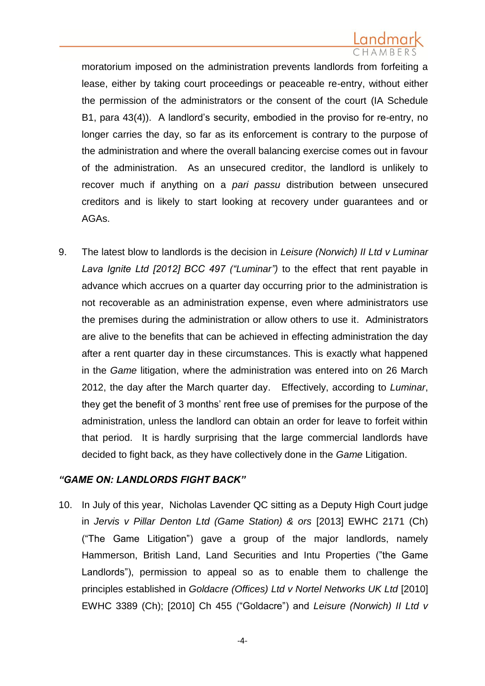moratorium imposed on the administration prevents landlords from forfeiting a lease, either by taking court proceedings or peaceable re-entry, without either the permission of the administrators or the consent of the court (IA Schedule B1, para 43(4)). A landlord's security, embodied in the proviso for re-entry, no longer carries the day, so far as its enforcement is contrary to the purpose of the administration and where the overall balancing exercise comes out in favour of the administration. As an unsecured creditor, the landlord is unlikely to recover much if anything on a *pari passu* distribution between unsecured creditors and is likely to start looking at recovery under guarantees and or AGAs.

9. The latest blow to landlords is the decision in *Leisure (Norwich) II Ltd v Luminar Lava Ignite Ltd [2012] BCC 497 ("Luminar")* to the effect that rent payable in advance which accrues on a quarter day occurring prior to the administration is not recoverable as an administration expense, even where administrators use the premises during the administration or allow others to use it. Administrators are alive to the benefits that can be achieved in effecting administration the day after a rent quarter day in these circumstances. This is exactly what happened in the *Game* litigation, where the administration was entered into on 26 March 2012, the day after the March quarter day. Effectively, according to *Luminar*, they get the benefit of 3 months' rent free use of premises for the purpose of the administration, unless the landlord can obtain an order for leave to forfeit within that period. It is hardly surprising that the large commercial landlords have decided to fight back, as they have collectively done in the *Game* Litigation.

## *"GAME ON: LANDLORDS FIGHT BACK"*

10. In July of this year, Nicholas Lavender QC sitting as a Deputy High Court judge in *Jervis v Pillar Denton Ltd (Game Station) & ors* [2013] EWHC 2171 (Ch) ("The Game Litigation") gave a group of the major landlords, namely Hammerson, British Land, Land Securities and Intu Properties ("the Game Landlords"), permission to appeal so as to enable them to challenge the principles established in *Goldacre (Offices) Ltd v Nortel Networks UK Ltd* [2010] EWHC 3389 (Ch); [2010] Ch 455 ("Goldacre") and *Leisure (Norwich) II Ltd v*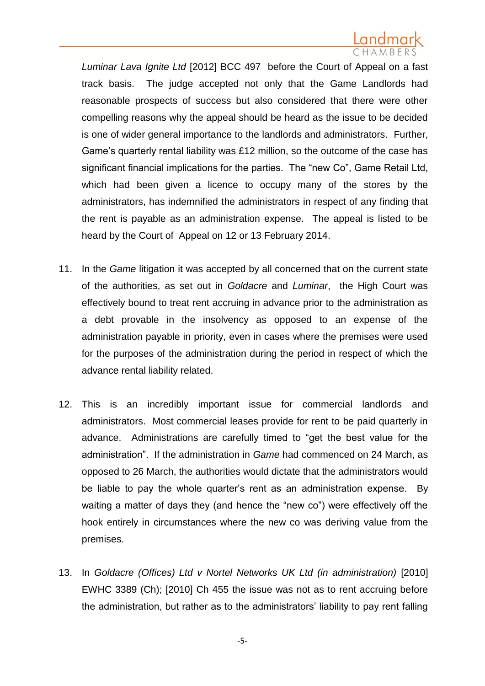*Luminar Lava Ignite Ltd* [2012] BCC 497 before the Court of Appeal on a fast track basis. The judge accepted not only that the Game Landlords had reasonable prospects of success but also considered that there were other compelling reasons why the appeal should be heard as the issue to be decided is one of wider general importance to the landlords and administrators. Further, Game's quarterly rental liability was £12 million, so the outcome of the case has significant financial implications for the parties. The "new Co", Game Retail Ltd, which had been given a licence to occupy many of the stores by the administrators, has indemnified the administrators in respect of any finding that the rent is payable as an administration expense. The appeal is listed to be heard by the Court of Appeal on 12 or 13 February 2014.

- 11. In the *Game* litigation it was accepted by all concerned that on the current state of the authorities, as set out in *Goldacre* and *Luminar*, the High Court was effectively bound to treat rent accruing in advance prior to the administration as a debt provable in the insolvency as opposed to an expense of the administration payable in priority, even in cases where the premises were used for the purposes of the administration during the period in respect of which the advance rental liability related.
- 12. This is an incredibly important issue for commercial landlords and administrators. Most commercial leases provide for rent to be paid quarterly in advance. Administrations are carefully timed to "get the best value for the administration". If the administration in *Game* had commenced on 24 March, as opposed to 26 March, the authorities would dictate that the administrators would be liable to pay the whole quarter's rent as an administration expense. By waiting a matter of days they (and hence the "new co") were effectively off the hook entirely in circumstances where the new co was deriving value from the premises.
- 13. In *Goldacre (Offices) Ltd v Nortel Networks UK Ltd (in administration)* [2010] EWHC 3389 (Ch); [2010] Ch 455 the issue was not as to rent accruing before the administration, but rather as to the administrators' liability to pay rent falling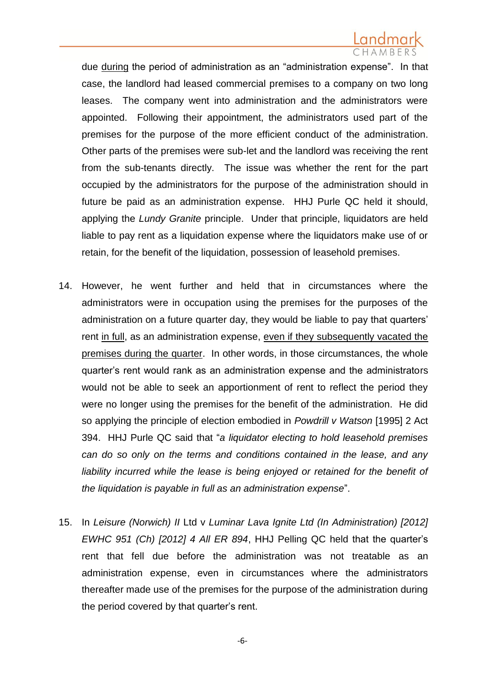due during the period of administration as an "administration expense". In that case, the landlord had leased commercial premises to a company on two long leases. The company went into administration and the administrators were appointed. Following their appointment, the administrators used part of the premises for the purpose of the more efficient conduct of the administration. Other parts of the premises were sub-let and the landlord was receiving the rent from the sub-tenants directly. The issue was whether the rent for the part occupied by the administrators for the purpose of the administration should in future be paid as an administration expense. HHJ Purle QC held it should, applying the *Lundy Granite* principle. Under that principle, liquidators are held liable to pay rent as a liquidation expense where the liquidators make use of or retain, for the benefit of the liquidation, possession of leasehold premises.

- 14. However, he went further and held that in circumstances where the administrators were in occupation using the premises for the purposes of the administration on a future quarter day, they would be liable to pay that quarters' rent in full, as an administration expense, even if they subsequently vacated the premises during the quarter. In other words, in those circumstances, the whole quarter's rent would rank as an administration expense and the administrators would not be able to seek an apportionment of rent to reflect the period they were no longer using the premises for the benefit of the administration. He did so applying the principle of election embodied in *Powdrill v Watson* [1995] 2 Act 394. HHJ Purle QC said that "*a liquidator electing to hold leasehold premises can do so only on the terms and conditions contained in the lease, and any*  liability incurred while the lease is being enjoyed or retained for the benefit of *the liquidation is payable in full as an administration expense*".
- 15. In *Leisure (Norwich) II* Ltd v *Luminar Lava Ignite Ltd (In Administration) [2012] EWHC 951 (Ch) [2012] 4 All ER 894*, HHJ Pelling QC held that the quarter's rent that fell due before the administration was not treatable as an administration expense, even in circumstances where the administrators thereafter made use of the premises for the purpose of the administration during the period covered by that quarter's rent.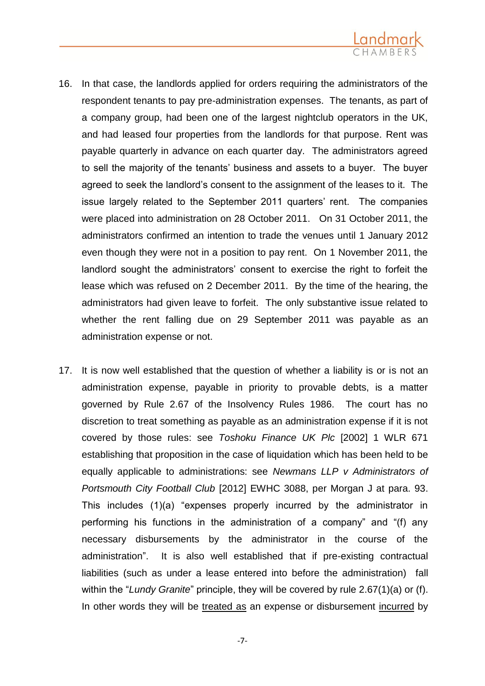

- 16. In that case, the landlords applied for orders requiring the administrators of the respondent tenants to pay pre-administration expenses. The tenants, as part of a company group, had been one of the largest nightclub operators in the UK, and had leased four properties from the landlords for that purpose. Rent was payable quarterly in advance on each quarter day. The administrators agreed to sell the majority of the tenants' business and assets to a buyer. The buyer agreed to seek the landlord's consent to the assignment of the leases to it. The issue largely related to the September 2011 quarters' rent. The companies were placed into administration on 28 October 2011. On 31 October 2011, the administrators confirmed an intention to trade the venues until 1 January 2012 even though they were not in a position to pay rent. On 1 November 2011, the landlord sought the administrators' consent to exercise the right to forfeit the lease which was refused on 2 December 2011. By the time of the hearing, the administrators had given leave to forfeit. The only substantive issue related to whether the rent falling due on 29 September 2011 was payable as an administration expense or not.
- 17. It is now well established that the question of whether a liability is or is not an administration expense, payable in priority to provable debts, is a matter governed by Rule 2.67 of the Insolvency Rules 1986. The court has no discretion to treat something as payable as an administration expense if it is not covered by those rules: see *Toshoku Finance UK Plc* [2002] 1 WLR 671 establishing that proposition in the case of liquidation which has been held to be equally applicable to administrations: see *Newmans LLP v Administrators of Portsmouth City Football Club* [2012] EWHC 3088, per Morgan J at para. 93. This includes (1)(a) "expenses properly incurred by the administrator in performing his functions in the administration of a company" and "(f) any necessary disbursements by the administrator in the course of the administration". It is also well established that if pre-existing contractual liabilities (such as under a lease entered into before the administration) fall within the "*Lundy Granite*" principle, they will be covered by rule 2.67(1)(a) or (f). In other words they will be treated as an expense or disbursement incurred by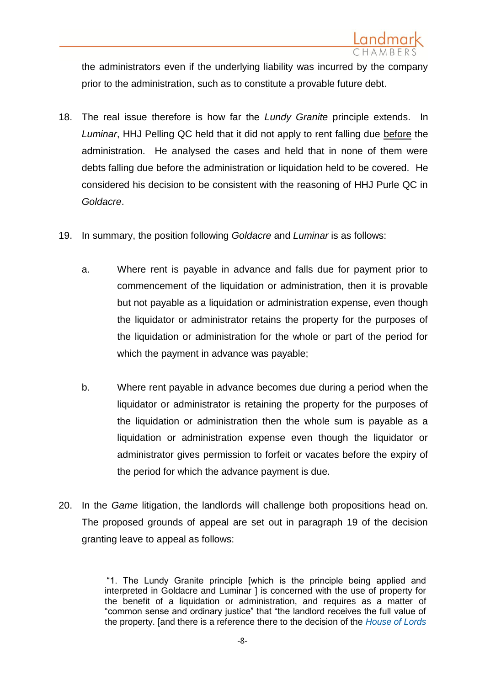

the administrators even if the underlying liability was incurred by the company prior to the administration, such as to constitute a provable future debt.

- 18. The real issue therefore is how far the *Lundy Granite* principle extends. In *Luminar*, HHJ Pelling QC held that it did not apply to rent falling due before the administration. He analysed the cases and held that in none of them were debts falling due before the administration or liquidation held to be covered. He considered his decision to be consistent with the reasoning of HHJ Purle QC in *Goldacre*.
- 19. In summary, the position following *Goldacre* and *Luminar* is as follows:
	- a. Where rent is payable in advance and falls due for payment prior to commencement of the liquidation or administration, then it is provable but not payable as a liquidation or administration expense, even though the liquidator or administrator retains the property for the purposes of the liquidation or administration for the whole or part of the period for which the payment in advance was payable;
	- b. Where rent payable in advance becomes due during a period when the liquidator or administrator is retaining the property for the purposes of the liquidation or administration then the whole sum is payable as a liquidation or administration expense even though the liquidator or administrator gives permission to forfeit or vacates before the expiry of the period for which the advance payment is due.
- 20. In the *Game* litigation, the landlords will challenge both propositions head on. The proposed grounds of appeal are set out in paragraph 19 of the decision granting leave to appeal as follows:

"1. The Lundy Granite principle [which is the principle being applied and interpreted in Goldacre and Luminar 1 is concerned with the use of property for the benefit of a liquidation or administration, and requires as a matter of "common sense and ordinary justice" that "the landlord receives the full value of the property. [and there is a reference there to the decision of the *[House of Lords](http://login.westlaw.co.uk/maf/wluk/app/document?src=doc&linktype=ref&context=14&crumb-action=replace&docguid=ID6D26B71E42811DA8FC2A0F0355337E9)*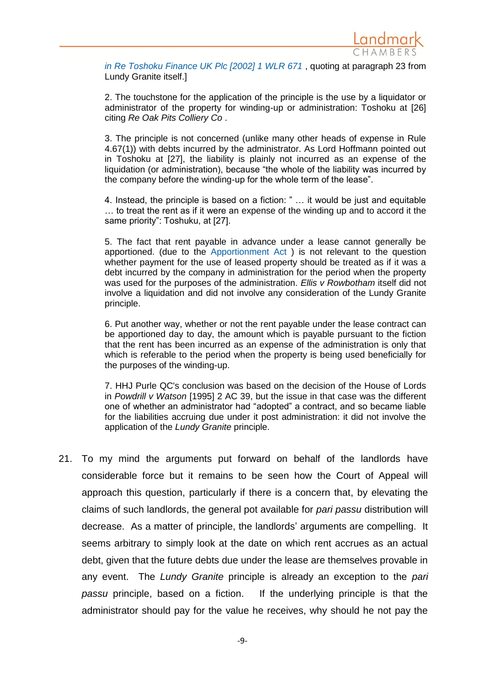

*in Re Toshoku Finance UK Plc [2002] 1 WLR 671* , quoting at paragraph 23 from Lundy Granite itself.]

2. The touchstone for the application of the principle is the use by a liquidator or administrator of the property for winding-up or administration: Toshoku at [26] citing *Re Oak Pits Colliery Co* .

3. The principle is not concerned (unlike many other heads of expense in Rule 4.67(1)) with debts incurred by the administrator. As Lord Hoffmann pointed out in Toshoku at [27], the liability is plainly not incurred as an expense of the liquidation (or administration), because "the whole of the liability was incurred by the company before the winding-up for the whole term of the lease".

4. Instead, the principle is based on a fiction: " … it would be just and equitable … to treat the rent as if it were an expense of the winding up and to accord it the same priority": Toshuku, at [27].

5. The fact that rent payable in advance under a lease cannot generally be apportioned. (due to the [Apportionment Act](http://login.westlaw.co.uk/maf/wluk/app/document?src=doc&linktype=ref&context=14&crumb-action=replace&docguid=I61053350E42311DAA7CF8F68F6EE57AB) ) is not relevant to the question whether payment for the use of leased property should be treated as if it was a debt incurred by the company in administration for the period when the property was used for the purposes of the administration. *Ellis v Rowbotham* itself did not involve a liquidation and did not involve any consideration of the Lundy Granite principle.

6. Put another way, whether or not the rent payable under the lease contract can be apportioned day to day, the amount which is payable pursuant to the fiction that the rent has been incurred as an expense of the administration is only that which is referable to the period when the property is being used beneficially for the purposes of the winding-up.

7. HHJ Purle QC's conclusion was based on the decision of the House of Lords in *Powdrill v Watson* [1995] 2 AC 39, but the issue in that case was the different one of whether an administrator had "adopted" a contract, and so became liable for the liabilities accruing due under it post administration: it did not involve the application of the *Lundy Granite* principle.

21. To my mind the arguments put forward on behalf of the landlords have considerable force but it remains to be seen how the Court of Appeal will approach this question, particularly if there is a concern that, by elevating the claims of such landlords, the general pot available for *pari passu* distribution will decrease. As a matter of principle, the landlords' arguments are compelling. It seems arbitrary to simply look at the date on which rent accrues as an actual debt, given that the future debts due under the lease are themselves provable in any event. The *Lundy Granite* principle is already an exception to the *pari passu* principle, based on a fiction. If the underlying principle is that the administrator should pay for the value he receives, why should he not pay the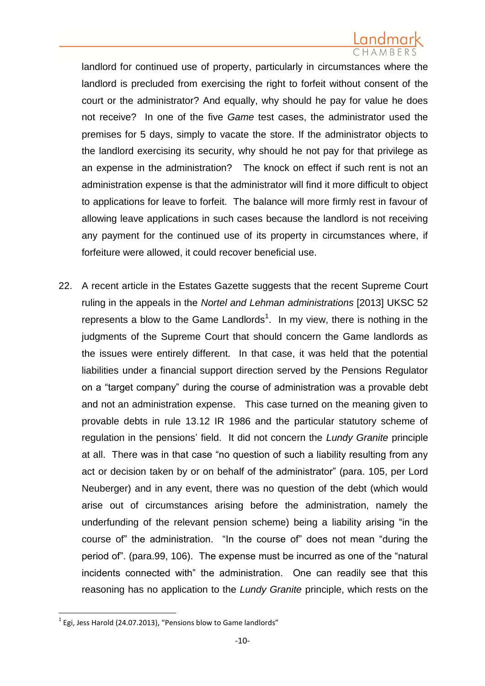landlord for continued use of property, particularly in circumstances where the landlord is precluded from exercising the right to forfeit without consent of the court or the administrator? And equally, why should he pay for value he does not receive? In one of the five *Game* test cases, the administrator used the premises for 5 days, simply to vacate the store. If the administrator objects to the landlord exercising its security, why should he not pay for that privilege as an expense in the administration? The knock on effect if such rent is not an administration expense is that the administrator will find it more difficult to object to applications for leave to forfeit. The balance will more firmly rest in favour of allowing leave applications in such cases because the landlord is not receiving any payment for the continued use of its property in circumstances where, if forfeiture were allowed, it could recover beneficial use.

22. A recent article in the Estates Gazette suggests that the recent Supreme Court ruling in the appeals in the *Nortel and Lehman administrations* [2013] UKSC 52 represents a blow to the Game Landlords<sup>1</sup>. In my view, there is nothing in the judgments of the Supreme Court that should concern the Game landlords as the issues were entirely different. In that case, it was held that the potential liabilities under a financial support direction served by the Pensions Regulator on a "target company" during the course of administration was a provable debt and not an administration expense. This case turned on the meaning given to provable debts in rule 13.12 IR 1986 and the particular statutory scheme of regulation in the pensions' field. It did not concern the *Lundy Granite* principle at all. There was in that case "no question of such a liability resulting from any act or decision taken by or on behalf of the administrator" (para. 105, per Lord Neuberger) and in any event, there was no question of the debt (which would arise out of circumstances arising before the administration, namely the underfunding of the relevant pension scheme) being a liability arising "in the course of" the administration. "In the course of" does not mean "during the period of". (para.99, 106). The expense must be incurred as one of the "natural incidents connected with" the administration. One can readily see that this reasoning has no application to the *Lundy Granite* principle, which rests on the

 1 Egi, Jess Harold (24.07.2013), "Pensions blow to Game landlords"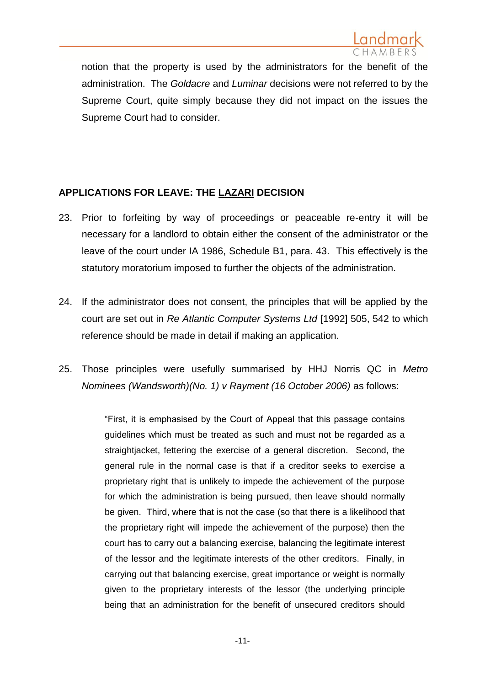

notion that the property is used by the administrators for the benefit of the administration. The *Goldacre* and *Luminar* decisions were not referred to by the Supreme Court, quite simply because they did not impact on the issues the Supreme Court had to consider.

## **APPLICATIONS FOR LEAVE: THE LAZARI DECISION**

- 23. Prior to forfeiting by way of proceedings or peaceable re-entry it will be necessary for a landlord to obtain either the consent of the administrator or the leave of the court under IA 1986, Schedule B1, para. 43. This effectively is the statutory moratorium imposed to further the objects of the administration.
- 24. If the administrator does not consent, the principles that will be applied by the court are set out in *Re Atlantic Computer Systems Ltd* [1992] 505, 542 to which reference should be made in detail if making an application.
- 25. Those principles were usefully summarised by HHJ Norris QC in *Metro Nominees (Wandsworth)(No. 1) v Rayment (16 October 2006)* as follows:

"First, it is emphasised by the Court of Appeal that this passage contains guidelines which must be treated as such and must not be regarded as a straightjacket, fettering the exercise of a general discretion. Second, the general rule in the normal case is that if a creditor seeks to exercise a proprietary right that is unlikely to impede the achievement of the purpose for which the administration is being pursued, then leave should normally be given. Third, where that is not the case (so that there is a likelihood that the proprietary right will impede the achievement of the purpose) then the court has to carry out a balancing exercise, balancing the legitimate interest of the lessor and the legitimate interests of the other creditors. Finally, in carrying out that balancing exercise, great importance or weight is normally given to the proprietary interests of the lessor (the underlying principle being that an administration for the benefit of unsecured creditors should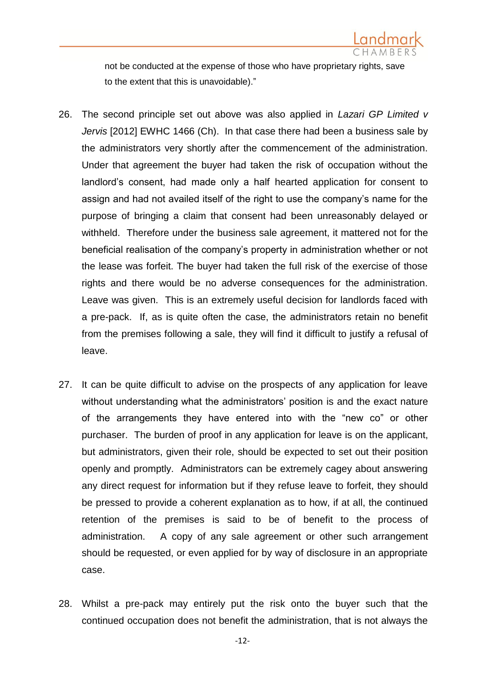

not be conducted at the expense of those who have proprietary rights, save to the extent that this is unavoidable)."

- 26. The second principle set out above was also applied in *Lazari GP Limited v Jervis* [2012] EWHC 1466 (Ch). In that case there had been a business sale by the administrators very shortly after the commencement of the administration. Under that agreement the buyer had taken the risk of occupation without the landlord's consent, had made only a half hearted application for consent to assign and had not availed itself of the right to use the company's name for the purpose of bringing a claim that consent had been unreasonably delayed or withheld. Therefore under the business sale agreement, it mattered not for the beneficial realisation of the company's property in administration whether or not the lease was forfeit. The buyer had taken the full risk of the exercise of those rights and there would be no adverse consequences for the administration. Leave was given. This is an extremely useful decision for landlords faced with a pre-pack. If, as is quite often the case, the administrators retain no benefit from the premises following a sale, they will find it difficult to justify a refusal of leave.
- 27. It can be quite difficult to advise on the prospects of any application for leave without understanding what the administrators' position is and the exact nature of the arrangements they have entered into with the "new co" or other purchaser. The burden of proof in any application for leave is on the applicant, but administrators, given their role, should be expected to set out their position openly and promptly. Administrators can be extremely cagey about answering any direct request for information but if they refuse leave to forfeit, they should be pressed to provide a coherent explanation as to how, if at all, the continued retention of the premises is said to be of benefit to the process of administration. A copy of any sale agreement or other such arrangement should be requested, or even applied for by way of disclosure in an appropriate case.
- 28. Whilst a pre-pack may entirely put the risk onto the buyer such that the continued occupation does not benefit the administration, that is not always the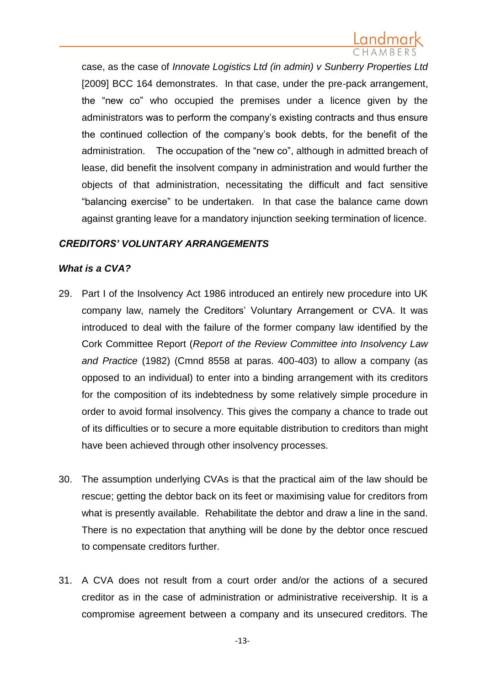case, as the case of *Innovate Logistics Ltd (in admin) v Sunberry Properties Ltd* [2009] BCC 164 demonstrates. In that case, under the pre-pack arrangement, the "new co" who occupied the premises under a licence given by the administrators was to perform the company's existing contracts and thus ensure the continued collection of the company's book debts, for the benefit of the administration. The occupation of the "new co", although in admitted breach of lease, did benefit the insolvent company in administration and would further the objects of that administration, necessitating the difficult and fact sensitive "balancing exercise" to be undertaken. In that case the balance came down against granting leave for a mandatory injunction seeking termination of licence.

## *CREDITORS' VOLUNTARY ARRANGEMENTS*

## *What is a CVA?*

- 29. Part I of the Insolvency Act 1986 introduced an entirely new procedure into UK company law, namely the Creditors' Voluntary Arrangement or CVA. It was introduced to deal with the failure of the former company law identified by the Cork Committee Report (*Report of the Review Committee into Insolvency Law and Practice* (1982) (Cmnd 8558 at paras. 400-403) to allow a company (as opposed to an individual) to enter into a binding arrangement with its creditors for the composition of its indebtedness by some relatively simple procedure in order to avoid formal insolvency. This gives the company a chance to trade out of its difficulties or to secure a more equitable distribution to creditors than might have been achieved through other insolvency processes.
- 30. The assumption underlying CVAs is that the practical aim of the law should be rescue; getting the debtor back on its feet or maximising value for creditors from what is presently available. Rehabilitate the debtor and draw a line in the sand. There is no expectation that anything will be done by the debtor once rescued to compensate creditors further.
- 31. A CVA does not result from a court order and/or the actions of a secured creditor as in the case of administration or administrative receivership. It is a compromise agreement between a company and its unsecured creditors. The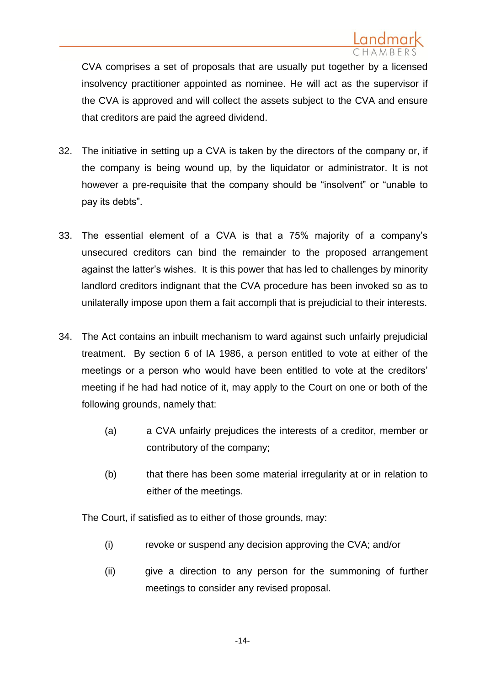CVA comprises a set of proposals that are usually put together by a licensed insolvency practitioner appointed as nominee. He will act as the supervisor if the CVA is approved and will collect the assets subject to the CVA and ensure that creditors are paid the agreed dividend.

- 32. The initiative in setting up a CVA is taken by the directors of the company or, if the company is being wound up, by the liquidator or administrator. It is not however a pre-requisite that the company should be "insolvent" or "unable to pay its debts".
- 33. The essential element of a CVA is that a 75% majority of a company's unsecured creditors can bind the remainder to the proposed arrangement against the latter's wishes. It is this power that has led to challenges by minority landlord creditors indignant that the CVA procedure has been invoked so as to unilaterally impose upon them a fait accompli that is prejudicial to their interests.
- 34. The Act contains an inbuilt mechanism to ward against such unfairly prejudicial treatment. By section 6 of IA 1986, a person entitled to vote at either of the meetings or a person who would have been entitled to vote at the creditors' meeting if he had had notice of it, may apply to the Court on one or both of the following grounds, namely that:
	- (a) a CVA unfairly prejudices the interests of a creditor, member or contributory of the company;
	- (b) that there has been some material irregularity at or in relation to either of the meetings.

The Court, if satisfied as to either of those grounds, may:

- (i) revoke or suspend any decision approving the CVA; and/or
- (ii) give a direction to any person for the summoning of further meetings to consider any revised proposal.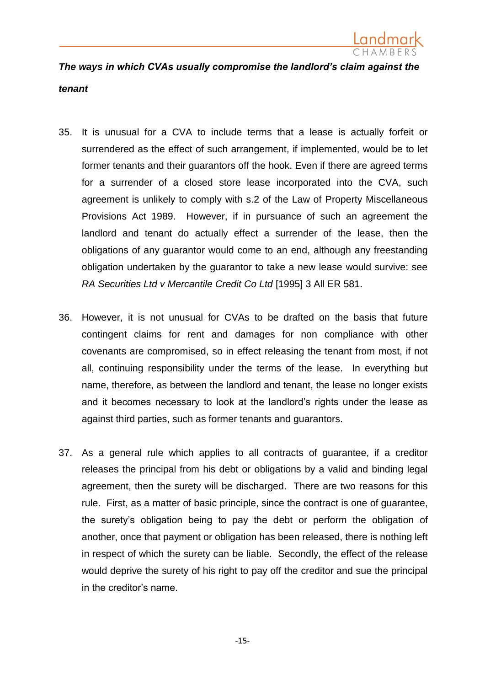

## *The ways in which CVAs usually compromise the landlord's claim against the tenant*

- 35. It is unusual for a CVA to include terms that a lease is actually forfeit or surrendered as the effect of such arrangement, if implemented, would be to let former tenants and their guarantors off the hook. Even if there are agreed terms for a surrender of a closed store lease incorporated into the CVA, such agreement is unlikely to comply with s.2 of the Law of Property Miscellaneous Provisions Act 1989. However, if in pursuance of such an agreement the landlord and tenant do actually effect a surrender of the lease, then the obligations of any guarantor would come to an end, although any freestanding obligation undertaken by the guarantor to take a new lease would survive: see *RA Securities Ltd v Mercantile Credit Co Ltd* [1995] 3 All ER 581.
- 36. However, it is not unusual for CVAs to be drafted on the basis that future contingent claims for rent and damages for non compliance with other covenants are compromised, so in effect releasing the tenant from most, if not all, continuing responsibility under the terms of the lease. In everything but name, therefore, as between the landlord and tenant, the lease no longer exists and it becomes necessary to look at the landlord's rights under the lease as against third parties, such as former tenants and guarantors.
- 37. As a general rule which applies to all contracts of guarantee, if a creditor releases the principal from his debt or obligations by a valid and binding legal agreement, then the surety will be discharged. There are two reasons for this rule. First, as a matter of basic principle, since the contract is one of guarantee, the surety's obligation being to pay the debt or perform the obligation of another, once that payment or obligation has been released, there is nothing left in respect of which the surety can be liable. Secondly, the effect of the release would deprive the surety of his right to pay off the creditor and sue the principal in the creditor's name.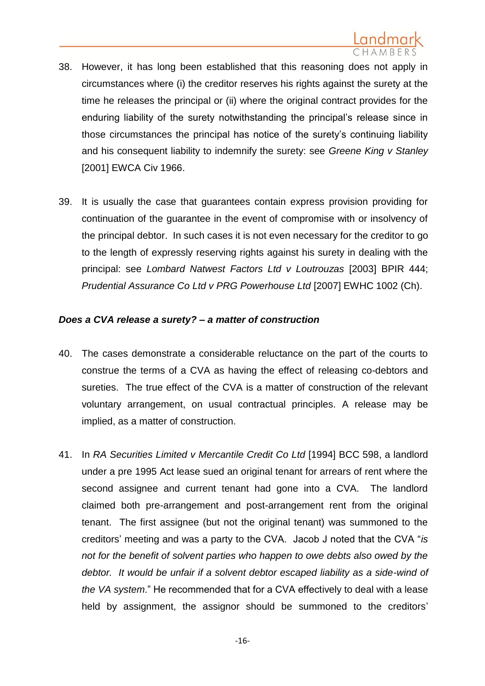- 38. However, it has long been established that this reasoning does not apply in circumstances where (i) the creditor reserves his rights against the surety at the time he releases the principal or (ii) where the original contract provides for the enduring liability of the surety notwithstanding the principal's release since in those circumstances the principal has notice of the surety's continuing liability and his consequent liability to indemnify the surety: see *Greene King v Stanley* [2001] EWCA Civ 1966.
- 39. It is usually the case that guarantees contain express provision providing for continuation of the guarantee in the event of compromise with or insolvency of the principal debtor. In such cases it is not even necessary for the creditor to go to the length of expressly reserving rights against his surety in dealing with the principal: see *Lombard Natwest Factors Ltd v Loutrouzas* [2003] BPIR 444; *Prudential Assurance Co Ltd v PRG Powerhouse Ltd* [2007] EWHC 1002 (Ch).

## *Does a CVA release a surety? – a matter of construction*

- 40. The cases demonstrate a considerable reluctance on the part of the courts to construe the terms of a CVA as having the effect of releasing co-debtors and sureties. The true effect of the CVA is a matter of construction of the relevant voluntary arrangement, on usual contractual principles. A release may be implied, as a matter of construction.
- 41. In *RA Securities Limited v Mercantile Credit Co Ltd* [1994] BCC 598, a landlord under a pre 1995 Act lease sued an original tenant for arrears of rent where the second assignee and current tenant had gone into a CVA. The landlord claimed both pre-arrangement and post-arrangement rent from the original tenant. The first assignee (but not the original tenant) was summoned to the creditors' meeting and was a party to the CVA. Jacob J noted that the CVA "*is not for the benefit of solvent parties who happen to owe debts also owed by the debtor. It would be unfair if a solvent debtor escaped liability as a side-wind of the VA system*." He recommended that for a CVA effectively to deal with a lease held by assignment, the assignor should be summoned to the creditors'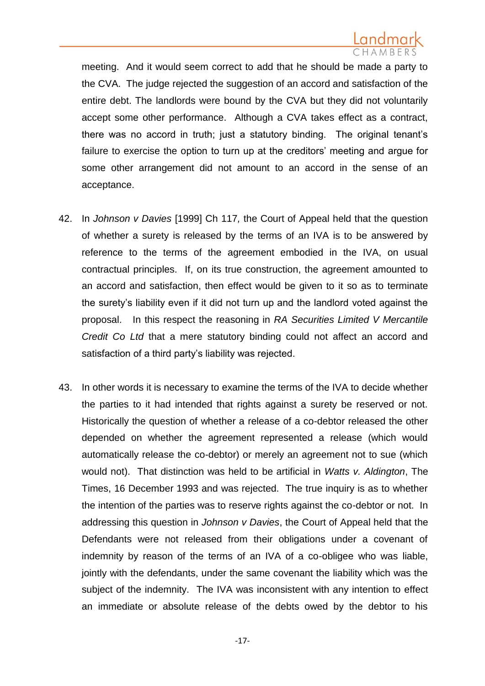meeting. And it would seem correct to add that he should be made a party to the CVA. The judge rejected the suggestion of an accord and satisfaction of the entire debt. The landlords were bound by the CVA but they did not voluntarily accept some other performance. Although a CVA takes effect as a contract, there was no accord in truth; just a statutory binding. The original tenant's failure to exercise the option to turn up at the creditors' meeting and argue for some other arrangement did not amount to an accord in the sense of an acceptance.

- 42. In *Johnson v Davies* [1999] Ch 117*,* the Court of Appeal held that the question of whether a surety is released by the terms of an IVA is to be answered by reference to the terms of the agreement embodied in the IVA, on usual contractual principles. If, on its true construction, the agreement amounted to an accord and satisfaction, then effect would be given to it so as to terminate the surety's liability even if it did not turn up and the landlord voted against the proposal. In this respect the reasoning in *RA Securities Limited V Mercantile Credit Co Ltd* that a mere statutory binding could not affect an accord and satisfaction of a third party's liability was rejected.
- 43. In other words it is necessary to examine the terms of the IVA to decide whether the parties to it had intended that rights against a surety be reserved or not. Historically the question of whether a release of a co-debtor released the other depended on whether the agreement represented a release (which would automatically release the co-debtor) or merely an agreement not to sue (which would not). That distinction was held to be artificial in *Watts v. Aldington*, The Times, 16 December 1993 and was rejected. The true inquiry is as to whether the intention of the parties was to reserve rights against the co-debtor or not. In addressing this question in *Johnson v Davies*, the Court of Appeal held that the Defendants were not released from their obligations under a covenant of indemnity by reason of the terms of an IVA of a co-obligee who was liable, jointly with the defendants, under the same covenant the liability which was the subject of the indemnity. The IVA was inconsistent with any intention to effect an immediate or absolute release of the debts owed by the debtor to his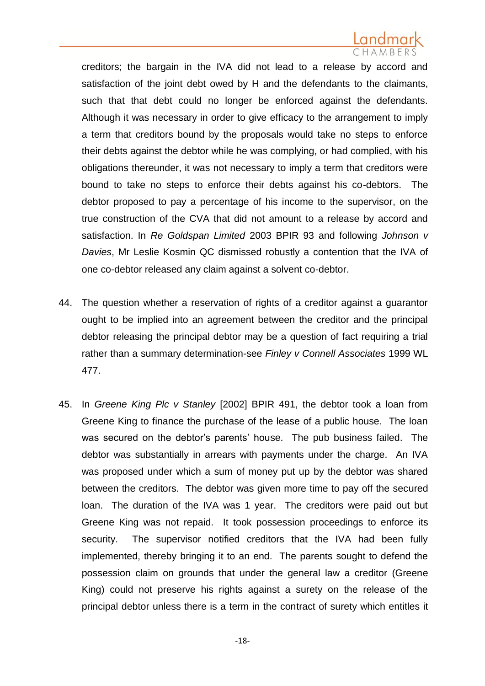creditors; the bargain in the IVA did not lead to a release by accord and satisfaction of the joint debt owed by H and the defendants to the claimants, such that that debt could no longer be enforced against the defendants. Although it was necessary in order to give efficacy to the arrangement to imply a term that creditors bound by the proposals would take no steps to enforce their debts against the debtor while he was complying, or had complied, with his obligations thereunder, it was not necessary to imply a term that creditors were bound to take no steps to enforce their debts against his co-debtors. The debtor proposed to pay a percentage of his income to the supervisor, on the true construction of the CVA that did not amount to a release by accord and satisfaction. In *Re Goldspan Limited* 2003 BPIR 93 and following *Johnson v Davies*, Mr Leslie Kosmin QC dismissed robustly a contention that the IVA of one co-debtor released any claim against a solvent co-debtor.

- 44. The question whether a reservation of rights of a creditor against a guarantor ought to be implied into an agreement between the creditor and the principal debtor releasing the principal debtor may be a question of fact requiring a trial rather than a summary determination-see *Finley v Connell Associates* 1999 WL 477.
- 45. In *Greene King Plc v Stanley* [2002] BPIR 491, the debtor took a loan from Greene King to finance the purchase of the lease of a public house. The loan was secured on the debtor's parents' house. The pub business failed. The debtor was substantially in arrears with payments under the charge. An IVA was proposed under which a sum of money put up by the debtor was shared between the creditors. The debtor was given more time to pay off the secured loan. The duration of the IVA was 1 year. The creditors were paid out but Greene King was not repaid. It took possession proceedings to enforce its security. The supervisor notified creditors that the IVA had been fully implemented, thereby bringing it to an end. The parents sought to defend the possession claim on grounds that under the general law a creditor (Greene King) could not preserve his rights against a surety on the release of the principal debtor unless there is a term in the contract of surety which entitles it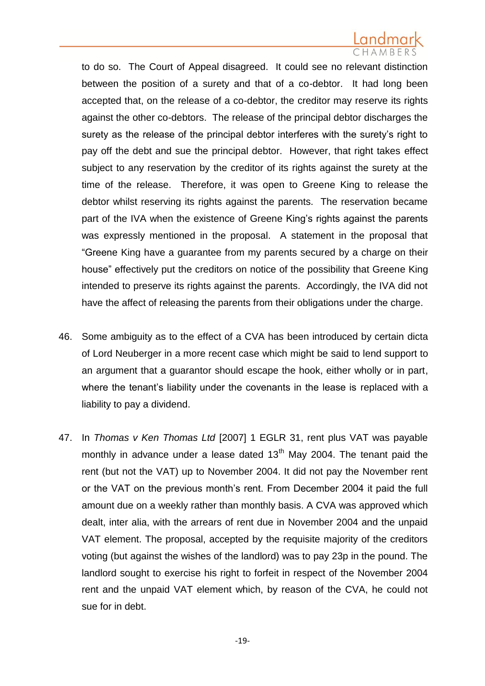to do so. The Court of Appeal disagreed. It could see no relevant distinction between the position of a surety and that of a co-debtor. It had long been accepted that, on the release of a co-debtor, the creditor may reserve its rights against the other co-debtors. The release of the principal debtor discharges the surety as the release of the principal debtor interferes with the surety's right to pay off the debt and sue the principal debtor. However, that right takes effect subject to any reservation by the creditor of its rights against the surety at the time of the release. Therefore, it was open to Greene King to release the debtor whilst reserving its rights against the parents. The reservation became part of the IVA when the existence of Greene King's rights against the parents was expressly mentioned in the proposal. A statement in the proposal that "Greene King have a guarantee from my parents secured by a charge on their house" effectively put the creditors on notice of the possibility that Greene King intended to preserve its rights against the parents. Accordingly, the IVA did not have the affect of releasing the parents from their obligations under the charge.

- 46. Some ambiguity as to the effect of a CVA has been introduced by certain dicta of Lord Neuberger in a more recent case which might be said to lend support to an argument that a guarantor should escape the hook, either wholly or in part, where the tenant's liability under the covenants in the lease is replaced with a liability to pay a dividend.
- 47. In *Thomas v Ken Thomas Ltd* [2007] 1 EGLR 31, rent plus VAT was payable monthly in advance under a lease dated  $13<sup>th</sup>$  May 2004. The tenant paid the rent (but not the VAT) up to November 2004. It did not pay the November rent or the VAT on the previous month's rent. From December 2004 it paid the full amount due on a weekly rather than monthly basis. A CVA was approved which dealt, inter alia, with the arrears of rent due in November 2004 and the unpaid VAT element. The proposal, accepted by the requisite majority of the creditors voting (but against the wishes of the landlord) was to pay 23p in the pound. The landlord sought to exercise his right to forfeit in respect of the November 2004 rent and the unpaid VAT element which, by reason of the CVA, he could not sue for in debt.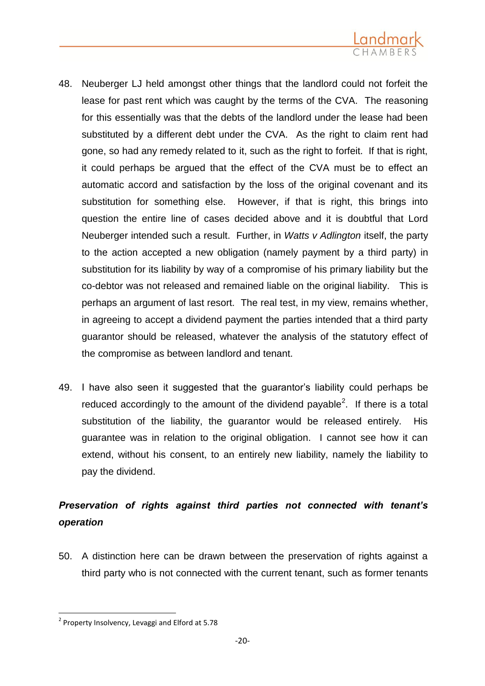

- 48. Neuberger LJ held amongst other things that the landlord could not forfeit the lease for past rent which was caught by the terms of the CVA. The reasoning for this essentially was that the debts of the landlord under the lease had been substituted by a different debt under the CVA. As the right to claim rent had gone, so had any remedy related to it, such as the right to forfeit. If that is right, it could perhaps be argued that the effect of the CVA must be to effect an automatic accord and satisfaction by the loss of the original covenant and its substitution for something else. However, if that is right, this brings into question the entire line of cases decided above and it is doubtful that Lord Neuberger intended such a result. Further, in *Watts v Adlington* itself, the party to the action accepted a new obligation (namely payment by a third party) in substitution for its liability by way of a compromise of his primary liability but the co-debtor was not released and remained liable on the original liability. This is perhaps an argument of last resort. The real test, in my view, remains whether, in agreeing to accept a dividend payment the parties intended that a third party guarantor should be released, whatever the analysis of the statutory effect of the compromise as between landlord and tenant.
- 49. I have also seen it suggested that the guarantor's liability could perhaps be reduced accordingly to the amount of the dividend payable<sup>2</sup>. If there is a total substitution of the liability, the guarantor would be released entirely. His guarantee was in relation to the original obligation. I cannot see how it can extend, without his consent, to an entirely new liability, namely the liability to pay the dividend.

## *Preservation of rights against third parties not connected with tenant's operation*

50. A distinction here can be drawn between the preservation of rights against a third party who is not connected with the current tenant, such as former tenants

**.** 

<sup>&</sup>lt;sup>2</sup> Property Insolvency, Levaggi and Elford at 5.78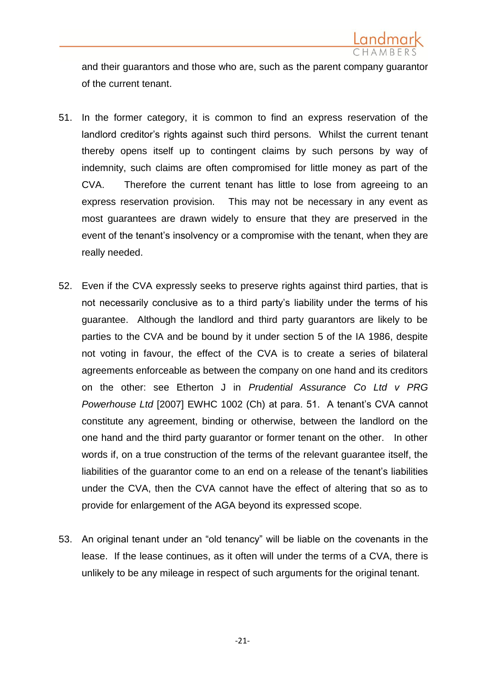

and their guarantors and those who are, such as the parent company guarantor of the current tenant.

- 51. In the former category, it is common to find an express reservation of the landlord creditor's rights against such third persons. Whilst the current tenant thereby opens itself up to contingent claims by such persons by way of indemnity, such claims are often compromised for little money as part of the CVA. Therefore the current tenant has little to lose from agreeing to an express reservation provision. This may not be necessary in any event as most guarantees are drawn widely to ensure that they are preserved in the event of the tenant's insolvency or a compromise with the tenant, when they are really needed.
- 52. Even if the CVA expressly seeks to preserve rights against third parties, that is not necessarily conclusive as to a third party's liability under the terms of his guarantee. Although the landlord and third party guarantors are likely to be parties to the CVA and be bound by it under section 5 of the IA 1986, despite not voting in favour, the effect of the CVA is to create a series of bilateral agreements enforceable as between the company on one hand and its creditors on the other: see Etherton J in *Prudential Assurance Co Ltd v PRG Powerhouse Ltd* [2007] EWHC 1002 (Ch) at para. 51. A tenant's CVA cannot constitute any agreement, binding or otherwise, between the landlord on the one hand and the third party guarantor or former tenant on the other. In other words if, on a true construction of the terms of the relevant guarantee itself, the liabilities of the guarantor come to an end on a release of the tenant's liabilities under the CVA, then the CVA cannot have the effect of altering that so as to provide for enlargement of the AGA beyond its expressed scope.
- 53. An original tenant under an "old tenancy" will be liable on the covenants in the lease. If the lease continues, as it often will under the terms of a CVA, there is unlikely to be any mileage in respect of such arguments for the original tenant.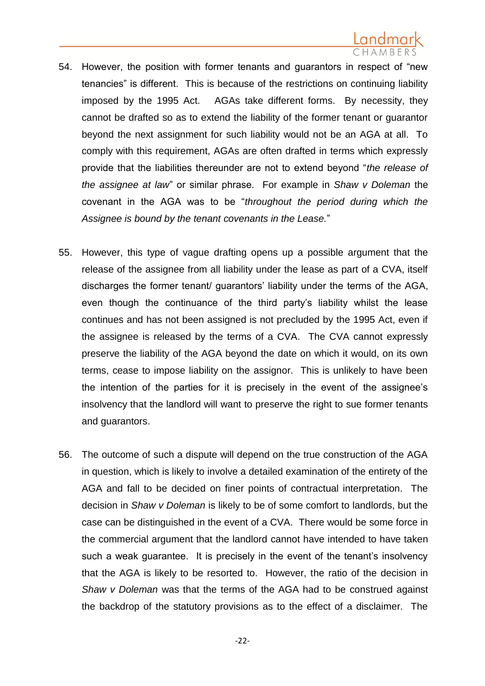- 54. However, the position with former tenants and guarantors in respect of "new tenancies" is different. This is because of the restrictions on continuing liability imposed by the 1995 Act. AGAs take different forms. By necessity, they cannot be drafted so as to extend the liability of the former tenant or guarantor beyond the next assignment for such liability would not be an AGA at all. To comply with this requirement, AGAs are often drafted in terms which expressly provide that the liabilities thereunder are not to extend beyond "*the release of the assignee at law*" or similar phrase. For example in *Shaw v Doleman* the covenant in the AGA was to be "*throughout the period during which the Assignee is bound by the tenant covenants in the Lease.*"
- 55. However, this type of vague drafting opens up a possible argument that the release of the assignee from all liability under the lease as part of a CVA, itself discharges the former tenant/ guarantors' liability under the terms of the AGA, even though the continuance of the third party's liability whilst the lease continues and has not been assigned is not precluded by the 1995 Act, even if the assignee is released by the terms of a CVA. The CVA cannot expressly preserve the liability of the AGA beyond the date on which it would, on its own terms, cease to impose liability on the assignor. This is unlikely to have been the intention of the parties for it is precisely in the event of the assignee's insolvency that the landlord will want to preserve the right to sue former tenants and guarantors.
- 56. The outcome of such a dispute will depend on the true construction of the AGA in question, which is likely to involve a detailed examination of the entirety of the AGA and fall to be decided on finer points of contractual interpretation. The decision in *Shaw v Doleman* is likely to be of some comfort to landlords, but the case can be distinguished in the event of a CVA. There would be some force in the commercial argument that the landlord cannot have intended to have taken such a weak guarantee. It is precisely in the event of the tenant's insolvency that the AGA is likely to be resorted to. However, the ratio of the decision in *Shaw v Doleman* was that the terms of the AGA had to be construed against the backdrop of the statutory provisions as to the effect of a disclaimer. The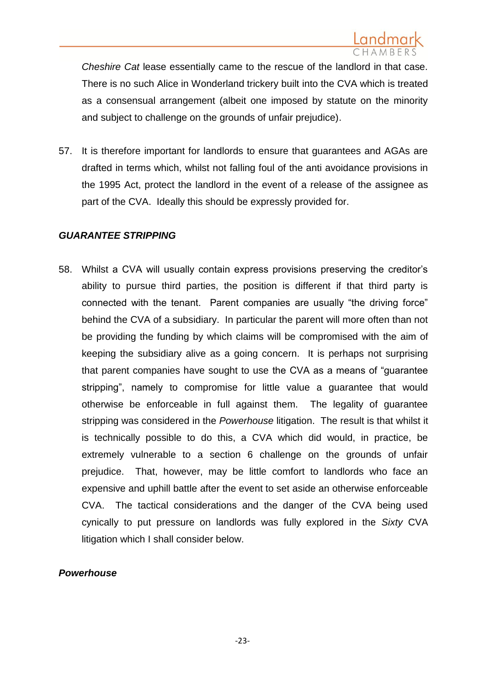*Cheshire Cat* lease essentially came to the rescue of the landlord in that case. There is no such Alice in Wonderland trickery built into the CVA which is treated as a consensual arrangement (albeit one imposed by statute on the minority and subject to challenge on the grounds of unfair prejudice).

57. It is therefore important for landlords to ensure that guarantees and AGAs are drafted in terms which, whilst not falling foul of the anti avoidance provisions in the 1995 Act, protect the landlord in the event of a release of the assignee as part of the CVA. Ideally this should be expressly provided for.

## *GUARANTEE STRIPPING*

58. Whilst a CVA will usually contain express provisions preserving the creditor's ability to pursue third parties, the position is different if that third party is connected with the tenant. Parent companies are usually "the driving force" behind the CVA of a subsidiary. In particular the parent will more often than not be providing the funding by which claims will be compromised with the aim of keeping the subsidiary alive as a going concern. It is perhaps not surprising that parent companies have sought to use the CVA as a means of "guarantee stripping", namely to compromise for little value a guarantee that would otherwise be enforceable in full against them. The legality of guarantee stripping was considered in the *Powerhouse* litigation. The result is that whilst it is technically possible to do this, a CVA which did would, in practice, be extremely vulnerable to a section 6 challenge on the grounds of unfair prejudice. That, however, may be little comfort to landlords who face an expensive and uphill battle after the event to set aside an otherwise enforceable CVA. The tactical considerations and the danger of the CVA being used cynically to put pressure on landlords was fully explored in the *Sixty* CVA litigation which I shall consider below.

## *Powerhouse*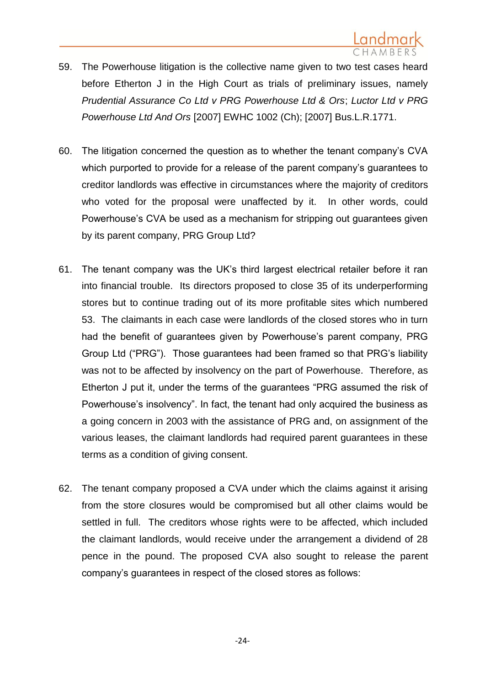

- 59. The Powerhouse litigation is the collective name given to two test cases heard before Etherton J in the High Court as trials of preliminary issues, namely *Prudential Assurance Co Ltd v PRG Powerhouse Ltd & Ors*; *Luctor Ltd v PRG Powerhouse Ltd And Ors* [2007] EWHC 1002 (Ch); [2007] Bus.L.R.1771.
- 60. The litigation concerned the question as to whether the tenant company's CVA which purported to provide for a release of the parent company's guarantees to creditor landlords was effective in circumstances where the majority of creditors who voted for the proposal were unaffected by it. In other words, could Powerhouse's CVA be used as a mechanism for stripping out guarantees given by its parent company, PRG Group Ltd?
- 61. The tenant company was the UK's third largest electrical retailer before it ran into financial trouble. Its directors proposed to close 35 of its underperforming stores but to continue trading out of its more profitable sites which numbered 53. The claimants in each case were landlords of the closed stores who in turn had the benefit of guarantees given by Powerhouse's parent company, PRG Group Ltd ("PRG"). Those guarantees had been framed so that PRG's liability was not to be affected by insolvency on the part of Powerhouse. Therefore, as Etherton J put it, under the terms of the guarantees "PRG assumed the risk of Powerhouse's insolvency". In fact, the tenant had only acquired the business as a going concern in 2003 with the assistance of PRG and, on assignment of the various leases, the claimant landlords had required parent guarantees in these terms as a condition of giving consent.
- 62. The tenant company proposed a CVA under which the claims against it arising from the store closures would be compromised but all other claims would be settled in full. The creditors whose rights were to be affected, which included the claimant landlords, would receive under the arrangement a dividend of 28 pence in the pound. The proposed CVA also sought to release the parent company's guarantees in respect of the closed stores as follows: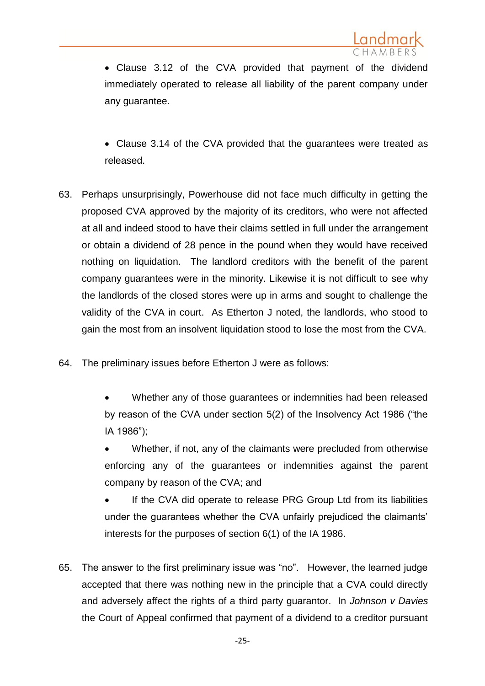

 Clause 3.12 of the CVA provided that payment of the dividend immediately operated to release all liability of the parent company under any guarantee.

 Clause 3.14 of the CVA provided that the guarantees were treated as released.

- 63. Perhaps unsurprisingly, Powerhouse did not face much difficulty in getting the proposed CVA approved by the majority of its creditors, who were not affected at all and indeed stood to have their claims settled in full under the arrangement or obtain a dividend of 28 pence in the pound when they would have received nothing on liquidation. The landlord creditors with the benefit of the parent company guarantees were in the minority. Likewise it is not difficult to see why the landlords of the closed stores were up in arms and sought to challenge the validity of the CVA in court. As Etherton J noted, the landlords, who stood to gain the most from an insolvent liquidation stood to lose the most from the CVA.
- 64. The preliminary issues before Etherton J were as follows:
	- Whether any of those guarantees or indemnities had been released by reason of the CVA under section 5(2) of the Insolvency Act 1986 ("the IA 1986");

 Whether, if not, any of the claimants were precluded from otherwise enforcing any of the guarantees or indemnities against the parent company by reason of the CVA; and

 If the CVA did operate to release PRG Group Ltd from its liabilities under the guarantees whether the CVA unfairly prejudiced the claimants' interests for the purposes of section 6(1) of the IA 1986.

65. The answer to the first preliminary issue was "no". However, the learned judge accepted that there was nothing new in the principle that a CVA could directly and adversely affect the rights of a third party guarantor. In *Johnson v Davies* the Court of Appeal confirmed that payment of a dividend to a creditor pursuant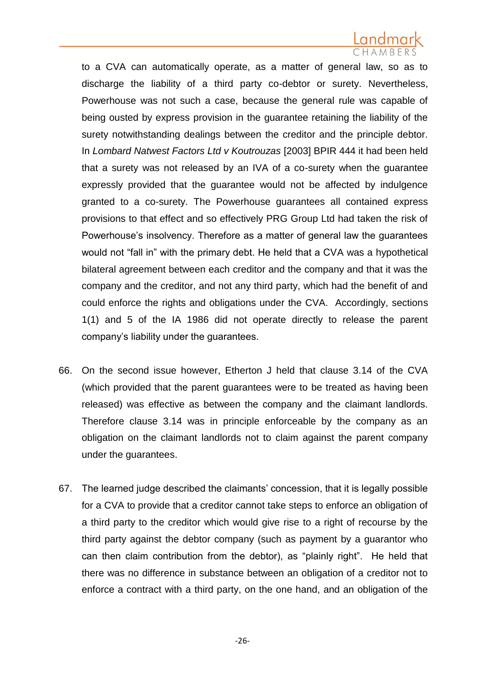to a CVA can automatically operate, as a matter of general law, so as to discharge the liability of a third party co-debtor or surety. Nevertheless, Powerhouse was not such a case, because the general rule was capable of being ousted by express provision in the guarantee retaining the liability of the surety notwithstanding dealings between the creditor and the principle debtor. In *Lombard Natwest Factors Ltd v Koutrouzas* [2003] BPIR 444 it had been held that a surety was not released by an IVA of a co-surety when the guarantee expressly provided that the guarantee would not be affected by indulgence granted to a co-surety. The Powerhouse guarantees all contained express provisions to that effect and so effectively PRG Group Ltd had taken the risk of Powerhouse's insolvency. Therefore as a matter of general law the guarantees would not "fall in" with the primary debt. He held that a CVA was a hypothetical bilateral agreement between each creditor and the company and that it was the company and the creditor, and not any third party, which had the benefit of and could enforce the rights and obligations under the CVA. Accordingly, sections 1(1) and 5 of the IA 1986 did not operate directly to release the parent company's liability under the guarantees.

- 66. On the second issue however, Etherton J held that clause 3.14 of the CVA (which provided that the parent guarantees were to be treated as having been released) was effective as between the company and the claimant landlords. Therefore clause 3.14 was in principle enforceable by the company as an obligation on the claimant landlords not to claim against the parent company under the guarantees.
- 67. The learned judge described the claimants' concession, that it is legally possible for a CVA to provide that a creditor cannot take steps to enforce an obligation of a third party to the creditor which would give rise to a right of recourse by the third party against the debtor company (such as payment by a guarantor who can then claim contribution from the debtor), as "plainly right". He held that there was no difference in substance between an obligation of a creditor not to enforce a contract with a third party, on the one hand, and an obligation of the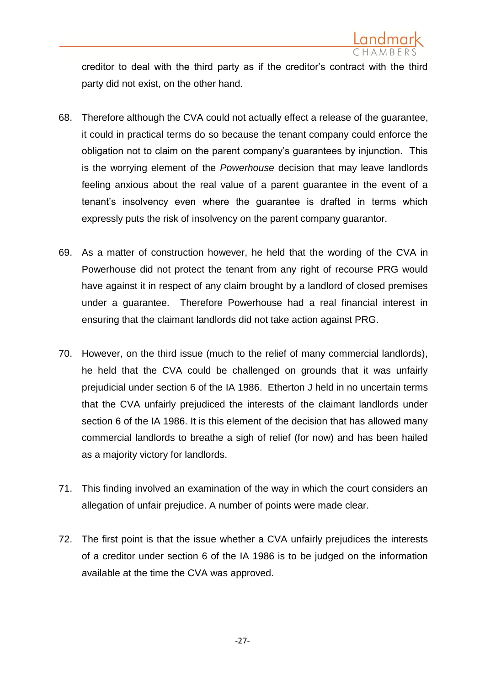

creditor to deal with the third party as if the creditor's contract with the third party did not exist, on the other hand.

- 68. Therefore although the CVA could not actually effect a release of the guarantee, it could in practical terms do so because the tenant company could enforce the obligation not to claim on the parent company's guarantees by injunction. This is the worrying element of the *Powerhouse* decision that may leave landlords feeling anxious about the real value of a parent guarantee in the event of a tenant's insolvency even where the guarantee is drafted in terms which expressly puts the risk of insolvency on the parent company guarantor.
- 69. As a matter of construction however, he held that the wording of the CVA in Powerhouse did not protect the tenant from any right of recourse PRG would have against it in respect of any claim brought by a landlord of closed premises under a guarantee. Therefore Powerhouse had a real financial interest in ensuring that the claimant landlords did not take action against PRG.
- 70. However, on the third issue (much to the relief of many commercial landlords), he held that the CVA could be challenged on grounds that it was unfairly prejudicial under section 6 of the IA 1986. Etherton J held in no uncertain terms that the CVA unfairly prejudiced the interests of the claimant landlords under section 6 of the IA 1986. It is this element of the decision that has allowed many commercial landlords to breathe a sigh of relief (for now) and has been hailed as a majority victory for landlords.
- 71. This finding involved an examination of the way in which the court considers an allegation of unfair prejudice. A number of points were made clear.
- 72. The first point is that the issue whether a CVA unfairly prejudices the interests of a creditor under section 6 of the IA 1986 is to be judged on the information available at the time the CVA was approved.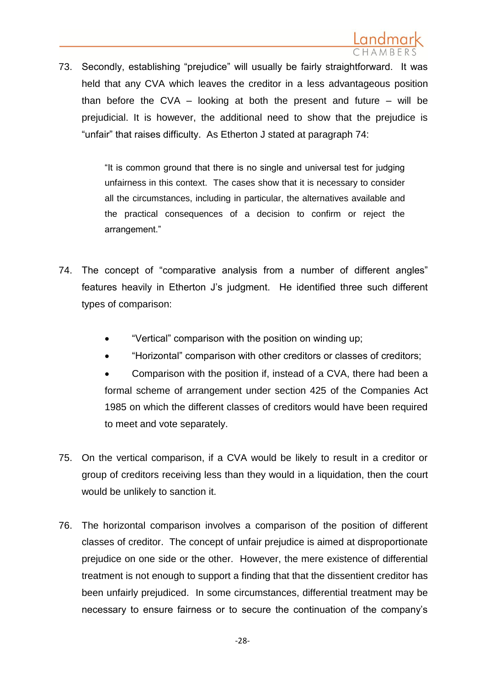73. Secondly, establishing "prejudice" will usually be fairly straightforward. It was held that any CVA which leaves the creditor in a less advantageous position than before the CVA – looking at both the present and future – will be prejudicial. It is however, the additional need to show that the prejudice is "unfair" that raises difficulty. As Etherton J stated at paragraph 74:

> "It is common ground that there is no single and universal test for judging unfairness in this context. The cases show that it is necessary to consider all the circumstances, including in particular, the alternatives available and the practical consequences of a decision to confirm or reject the arrangement."

- 74. The concept of "comparative analysis from a number of different angles" features heavily in Etherton J's judgment. He identified three such different types of comparison:
	- "Vertical" comparison with the position on winding up;
	- "Horizontal" comparison with other creditors or classes of creditors;
	- Comparison with the position if, instead of a CVA, there had been a formal scheme of arrangement under section 425 of the Companies Act 1985 on which the different classes of creditors would have been required to meet and vote separately.
- 75. On the vertical comparison, if a CVA would be likely to result in a creditor or group of creditors receiving less than they would in a liquidation, then the court would be unlikely to sanction it.
- 76. The horizontal comparison involves a comparison of the position of different classes of creditor. The concept of unfair prejudice is aimed at disproportionate prejudice on one side or the other. However, the mere existence of differential treatment is not enough to support a finding that that the dissentient creditor has been unfairly prejudiced. In some circumstances, differential treatment may be necessary to ensure fairness or to secure the continuation of the company's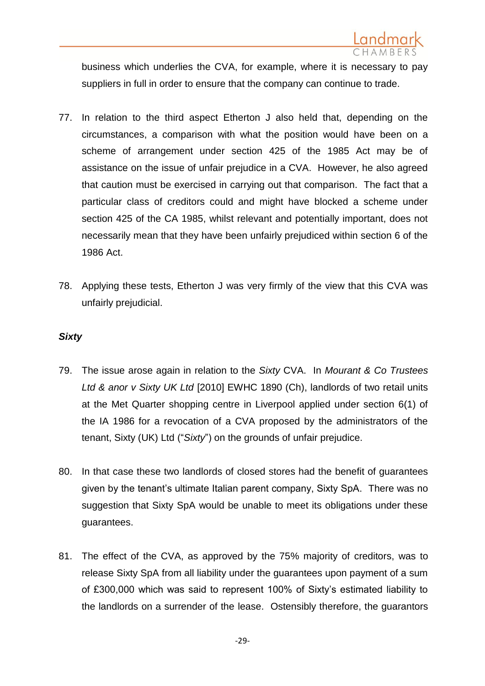

business which underlies the CVA, for example, where it is necessary to pay suppliers in full in order to ensure that the company can continue to trade.

- 77. In relation to the third aspect Etherton J also held that, depending on the circumstances, a comparison with what the position would have been on a scheme of arrangement under section 425 of the 1985 Act may be of assistance on the issue of unfair prejudice in a CVA. However, he also agreed that caution must be exercised in carrying out that comparison. The fact that a particular class of creditors could and might have blocked a scheme under section 425 of the CA 1985, whilst relevant and potentially important, does not necessarily mean that they have been unfairly prejudiced within section 6 of the 1986 Act.
- 78. Applying these tests, Etherton J was very firmly of the view that this CVA was unfairly prejudicial.

## *Sixty*

- 79. The issue arose again in relation to the *Sixty* CVA. In *Mourant & Co Trustees Ltd & anor v Sixty UK Ltd* [2010] EWHC 1890 (Ch), landlords of two retail units at the Met Quarter shopping centre in Liverpool applied under section 6(1) of the IA 1986 for a revocation of a CVA proposed by the administrators of the tenant, Sixty (UK) Ltd ("*Sixty*") on the grounds of unfair prejudice.
- 80. In that case these two landlords of closed stores had the benefit of guarantees given by the tenant's ultimate Italian parent company, Sixty SpA. There was no suggestion that Sixty SpA would be unable to meet its obligations under these guarantees.
- 81. The effect of the CVA, as approved by the 75% majority of creditors, was to release Sixty SpA from all liability under the guarantees upon payment of a sum of £300,000 which was said to represent 100% of Sixty's estimated liability to the landlords on a surrender of the lease. Ostensibly therefore, the guarantors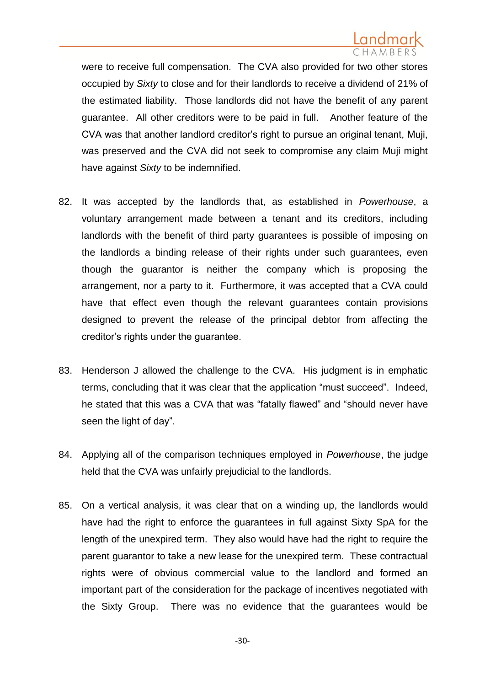were to receive full compensation. The CVA also provided for two other stores occupied by *Sixty* to close and for their landlords to receive a dividend of 21% of the estimated liability. Those landlords did not have the benefit of any parent guarantee. All other creditors were to be paid in full. Another feature of the CVA was that another landlord creditor's right to pursue an original tenant, Muji, was preserved and the CVA did not seek to compromise any claim Muji might have against *Sixty* to be indemnified.

- 82. It was accepted by the landlords that, as established in *Powerhouse*, a voluntary arrangement made between a tenant and its creditors, including landlords with the benefit of third party guarantees is possible of imposing on the landlords a binding release of their rights under such guarantees, even though the guarantor is neither the company which is proposing the arrangement, nor a party to it. Furthermore, it was accepted that a CVA could have that effect even though the relevant guarantees contain provisions designed to prevent the release of the principal debtor from affecting the creditor's rights under the guarantee.
- 83. Henderson J allowed the challenge to the CVA. His judgment is in emphatic terms, concluding that it was clear that the application "must succeed". Indeed, he stated that this was a CVA that was "fatally flawed" and "should never have seen the light of day".
- 84. Applying all of the comparison techniques employed in *Powerhouse*, the judge held that the CVA was unfairly prejudicial to the landlords.
- 85. On a vertical analysis, it was clear that on a winding up, the landlords would have had the right to enforce the guarantees in full against Sixty SpA for the length of the unexpired term. They also would have had the right to require the parent guarantor to take a new lease for the unexpired term. These contractual rights were of obvious commercial value to the landlord and formed an important part of the consideration for the package of incentives negotiated with the Sixty Group. There was no evidence that the guarantees would be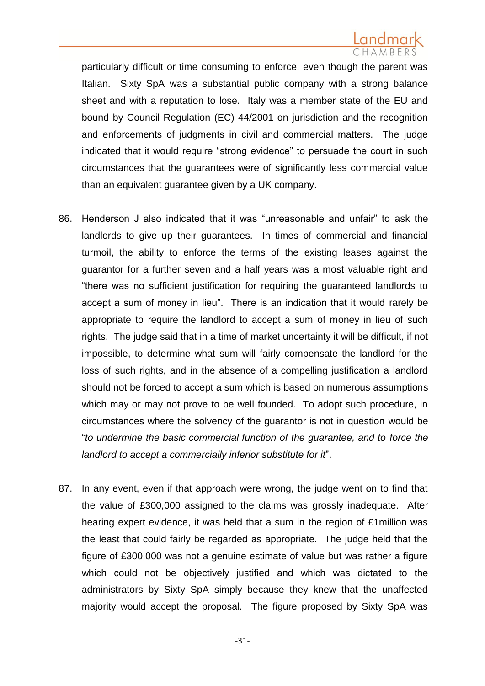particularly difficult or time consuming to enforce, even though the parent was Italian. Sixty SpA was a substantial public company with a strong balance sheet and with a reputation to lose. Italy was a member state of the EU and bound by Council Regulation (EC) 44/2001 on jurisdiction and the recognition and enforcements of judgments in civil and commercial matters. The judge indicated that it would require "strong evidence" to persuade the court in such circumstances that the guarantees were of significantly less commercial value than an equivalent guarantee given by a UK company.

- 86. Henderson J also indicated that it was "unreasonable and unfair" to ask the landlords to give up their guarantees. In times of commercial and financial turmoil, the ability to enforce the terms of the existing leases against the guarantor for a further seven and a half years was a most valuable right and "there was no sufficient justification for requiring the guaranteed landlords to accept a sum of money in lieu". There is an indication that it would rarely be appropriate to require the landlord to accept a sum of money in lieu of such rights. The judge said that in a time of market uncertainty it will be difficult, if not impossible, to determine what sum will fairly compensate the landlord for the loss of such rights, and in the absence of a compelling justification a landlord should not be forced to accept a sum which is based on numerous assumptions which may or may not prove to be well founded. To adopt such procedure, in circumstances where the solvency of the guarantor is not in question would be "*to undermine the basic commercial function of the guarantee, and to force the landlord to accept a commercially inferior substitute for it*".
- 87. In any event, even if that approach were wrong, the judge went on to find that the value of £300,000 assigned to the claims was grossly inadequate. After hearing expert evidence, it was held that a sum in the region of £1million was the least that could fairly be regarded as appropriate. The judge held that the figure of £300,000 was not a genuine estimate of value but was rather a figure which could not be objectively justified and which was dictated to the administrators by Sixty SpA simply because they knew that the unaffected majority would accept the proposal. The figure proposed by Sixty SpA was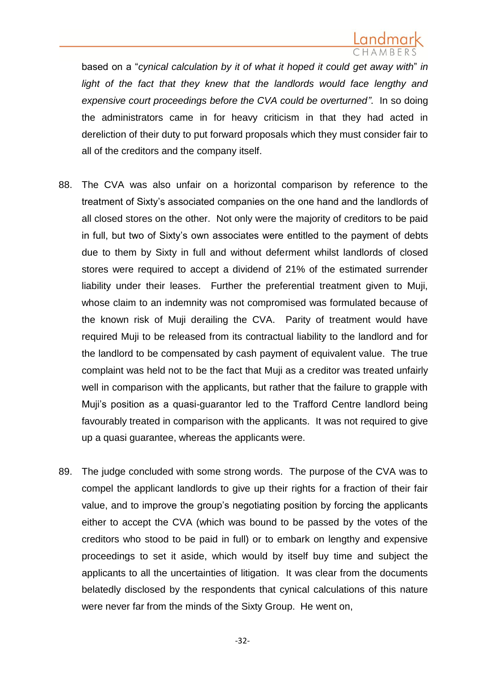

based on a "*cynical calculation by it of what it hoped it could get away with*" *in*  light of the fact that they knew that the landlords would face lengthy and *expensive court proceedings before the CVA could be overturned"*. In so doing the administrators came in for heavy criticism in that they had acted in dereliction of their duty to put forward proposals which they must consider fair to all of the creditors and the company itself.

- 88. The CVA was also unfair on a horizontal comparison by reference to the treatment of Sixty's associated companies on the one hand and the landlords of all closed stores on the other. Not only were the majority of creditors to be paid in full, but two of Sixty's own associates were entitled to the payment of debts due to them by Sixty in full and without deferment whilst landlords of closed stores were required to accept a dividend of 21% of the estimated surrender liability under their leases. Further the preferential treatment given to Muji, whose claim to an indemnity was not compromised was formulated because of the known risk of Muji derailing the CVA. Parity of treatment would have required Muji to be released from its contractual liability to the landlord and for the landlord to be compensated by cash payment of equivalent value. The true complaint was held not to be the fact that Muji as a creditor was treated unfairly well in comparison with the applicants, but rather that the failure to grapple with Muji's position as a quasi-guarantor led to the Trafford Centre landlord being favourably treated in comparison with the applicants. It was not required to give up a quasi guarantee, whereas the applicants were.
- 89. The judge concluded with some strong words. The purpose of the CVA was to compel the applicant landlords to give up their rights for a fraction of their fair value, and to improve the group's negotiating position by forcing the applicants either to accept the CVA (which was bound to be passed by the votes of the creditors who stood to be paid in full) or to embark on lengthy and expensive proceedings to set it aside, which would by itself buy time and subject the applicants to all the uncertainties of litigation. It was clear from the documents belatedly disclosed by the respondents that cynical calculations of this nature were never far from the minds of the Sixty Group. He went on,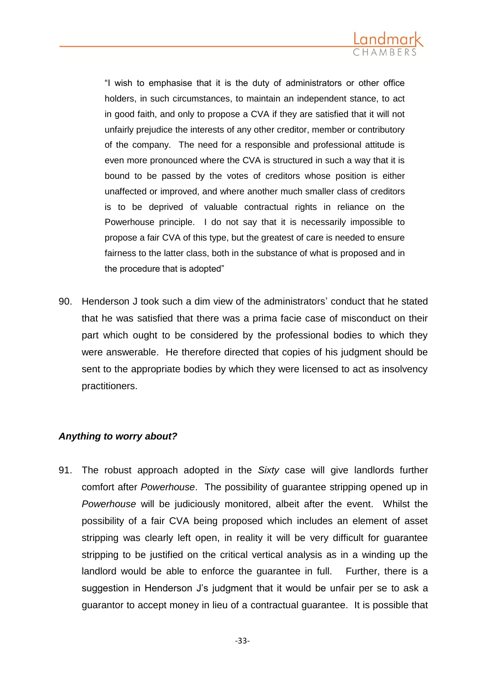

"I wish to emphasise that it is the duty of administrators or other office holders, in such circumstances, to maintain an independent stance, to act in good faith, and only to propose a CVA if they are satisfied that it will not unfairly prejudice the interests of any other creditor, member or contributory of the company. The need for a responsible and professional attitude is even more pronounced where the CVA is structured in such a way that it is bound to be passed by the votes of creditors whose position is either unaffected or improved, and where another much smaller class of creditors is to be deprived of valuable contractual rights in reliance on the Powerhouse principle. I do not say that it is necessarily impossible to propose a fair CVA of this type, but the greatest of care is needed to ensure fairness to the latter class, both in the substance of what is proposed and in the procedure that is adopted"

90. Henderson J took such a dim view of the administrators' conduct that he stated that he was satisfied that there was a prima facie case of misconduct on their part which ought to be considered by the professional bodies to which they were answerable. He therefore directed that copies of his judgment should be sent to the appropriate bodies by which they were licensed to act as insolvency practitioners.

## *Anything to worry about?*

91. The robust approach adopted in the *Sixty* case will give landlords further comfort after *Powerhouse*. The possibility of guarantee stripping opened up in *Powerhouse* will be judiciously monitored, albeit after the event. Whilst the possibility of a fair CVA being proposed which includes an element of asset stripping was clearly left open, in reality it will be very difficult for guarantee stripping to be justified on the critical vertical analysis as in a winding up the landlord would be able to enforce the guarantee in full. Further, there is a suggestion in Henderson J's judgment that it would be unfair per se to ask a guarantor to accept money in lieu of a contractual guarantee. It is possible that